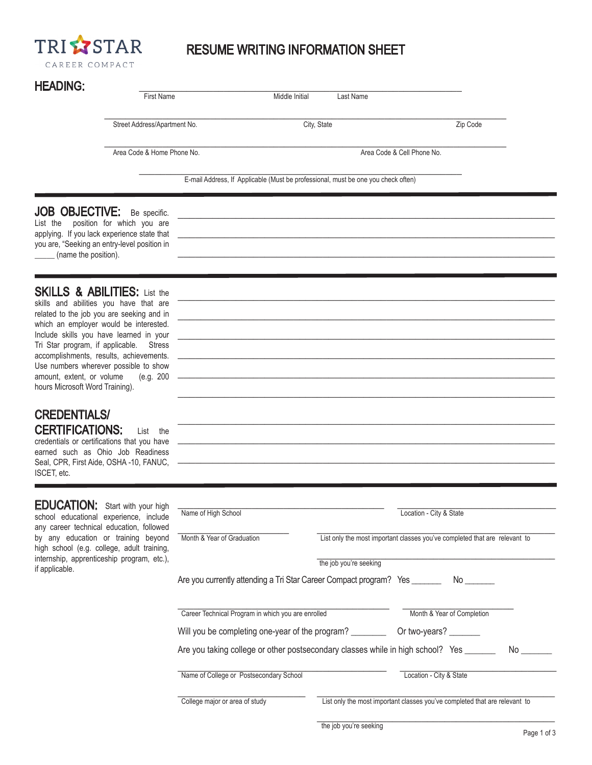

### RESUME WRITING INFORMATION SHEET

# HEADING·

ISCET, etc.

Seal, CPR, First Aide, OSHA -10, FANUC,

| <b>HEADING:</b>                                                                                                                                                                                                                                                                                                                                                                                                                           | <b>First Name</b>                          | Middle Initial                                                                    | Last Name                  |          |
|-------------------------------------------------------------------------------------------------------------------------------------------------------------------------------------------------------------------------------------------------------------------------------------------------------------------------------------------------------------------------------------------------------------------------------------------|--------------------------------------------|-----------------------------------------------------------------------------------|----------------------------|----------|
|                                                                                                                                                                                                                                                                                                                                                                                                                                           |                                            |                                                                                   |                            |          |
|                                                                                                                                                                                                                                                                                                                                                                                                                                           | Street Address/Apartment No.               | City, State                                                                       |                            | Zip Code |
|                                                                                                                                                                                                                                                                                                                                                                                                                                           | Area Code & Home Phone No.                 |                                                                                   | Area Code & Cell Phone No. |          |
|                                                                                                                                                                                                                                                                                                                                                                                                                                           |                                            | E-mail Address, If Applicable (Must be professional, must be one you check often) |                            |          |
| <b>JOB OBJECTIVE:</b><br>List the<br>applying. If you lack experience state that<br>you are, "Seeking an entry-level position in<br>(name the position).                                                                                                                                                                                                                                                                                  | Be specific.<br>position for which you are |                                                                                   |                            |          |
| <b>SKILLS &amp; ABILITIES:</b> List the<br>skills and abilities you have that are<br>related to the job you are seeking and in<br>which an employer would be interested.<br>Include skills you have learned in your<br>Tri Star program, if applicable.<br><b>Stress</b><br>accomplishments, results, achievements.<br>Use numbers wherever possible to show<br>amount, extent, or volume<br>(e.g. 200<br>hours Microsoft Word Training). |                                            |                                                                                   |                            |          |
| <b>CREDENTIALS/</b><br><b>CERTIFICATIONS:</b><br>credentials or certifications that you have<br>earned such as Ohio Job Readiness                                                                                                                                                                                                                                                                                                         | List the                                   |                                                                                   |                            |          |

| <b>EDUCATION:</b> Start with your high<br>school educational experience, include<br>any career technical education, followed    | Name of High School                                                             |                        | Location - City & State                                                    |     |
|---------------------------------------------------------------------------------------------------------------------------------|---------------------------------------------------------------------------------|------------------------|----------------------------------------------------------------------------|-----|
| by any education or training beyond<br>high school (e.g. college, adult training,<br>internship, apprenticeship program, etc.), | Month & Year of Graduation                                                      | the job you're seeking | List only the most important classes you've completed that are relevant to |     |
| if applicable.                                                                                                                  | Are you currently attending a Tri Star Career Compact program? Yes _________ No |                        |                                                                            |     |
|                                                                                                                                 | Career Technical Program in which you are enrolled                              |                        | Month & Year of Completion                                                 |     |
|                                                                                                                                 | Will you be completing one-year of the program?                                 |                        | Or two-years?                                                              |     |
|                                                                                                                                 | Are you taking college or other postsecondary classes while in high school? Yes |                        |                                                                            | No. |
|                                                                                                                                 | Name of College or Postsecondary School                                         |                        | Location - City & State                                                    |     |
|                                                                                                                                 | College major or area of study                                                  |                        | List only the most important classes you've completed that are relevant to |     |

\_\_\_\_\_\_\_\_\_\_\_\_\_\_\_\_\_\_\_\_\_\_\_\_\_\_\_\_\_\_\_\_\_\_\_\_\_\_\_\_\_\_\_\_\_\_\_\_\_\_\_\_\_\_\_\_\_\_\_\_\_\_\_\_\_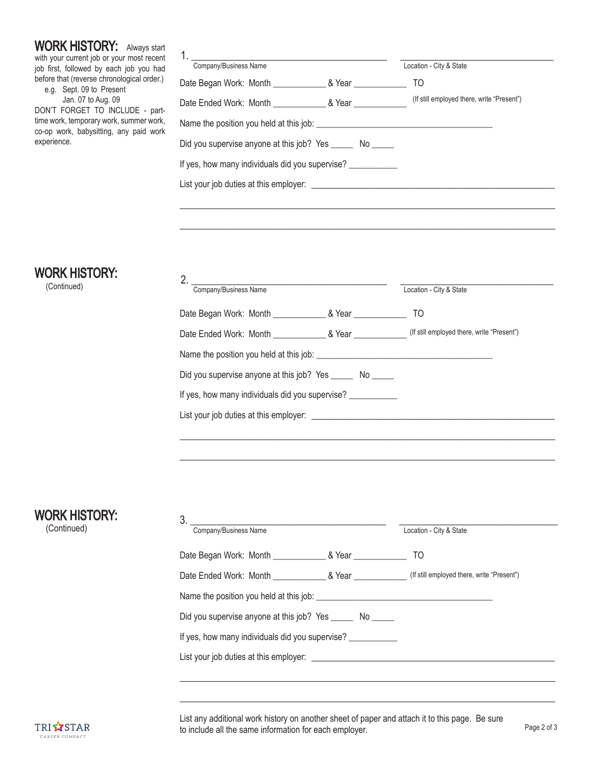WORK HISTORY: Always start with your current job or your most recent job first, followed by each job you had before that (reverse chronological order.)

 e.g. Sept. 09 to Present Jan. 07 to Aug. 09 DON'T FORGET TO INCLUDE - parttime work, temporary work, summer work, co-op work, babysitting, any paid work

| Company/Business Name                                       | Location - City & State                    |
|-------------------------------------------------------------|--------------------------------------------|
|                                                             | TO                                         |
|                                                             | (If still employed there, write "Present") |
|                                                             |                                            |
| Did you supervise anyone at this job? Yes _______ No ______ |                                            |
| If yes, how many individuals did you supervise?             |                                            |
| List your job duties at this employer:                      |                                            |
|                                                             |                                            |

\_\_\_\_\_\_\_\_\_\_\_\_\_\_\_\_\_\_\_\_\_\_\_\_\_\_\_\_\_\_\_\_\_\_\_\_\_\_\_\_\_\_\_\_\_\_\_\_\_\_\_\_\_\_\_\_\_\_\_\_\_\_\_\_\_\_\_\_\_\_\_

### WORK HISTORY:

(Continued)

experience.

| Company/Business Name                                       |  | Location - City & State |  |
|-------------------------------------------------------------|--|-------------------------|--|
|                                                             |  | TO                      |  |
|                                                             |  |                         |  |
|                                                             |  |                         |  |
| Did you supervise anyone at this job? Yes _______ No ______ |  |                         |  |
| If yes, how many individuals did you supervise?             |  |                         |  |
|                                                             |  |                         |  |
|                                                             |  |                         |  |

\_\_\_\_\_\_\_\_\_\_\_\_\_\_\_\_\_\_\_\_\_\_\_\_\_\_\_\_\_\_\_\_\_\_\_\_\_\_\_\_\_\_\_\_\_\_\_\_\_\_\_\_\_\_\_\_\_\_\_\_\_\_\_\_\_\_\_\_\_\_\_

## WORK HISTORY:

(Continued)

| Company/Business Name                                       |  | Location - City & State |  |
|-------------------------------------------------------------|--|-------------------------|--|
|                                                             |  | TO                      |  |
|                                                             |  |                         |  |
|                                                             |  |                         |  |
|                                                             |  |                         |  |
| Did you supervise anyone at this job? Yes _______ No ______ |  |                         |  |
| If yes, how many individuals did you supervise?             |  |                         |  |
| List your job duties at this employer:                      |  |                         |  |
|                                                             |  |                         |  |

\_\_\_\_\_\_\_\_\_\_\_\_\_\_\_\_\_\_\_\_\_\_\_\_\_\_\_\_\_\_\_\_\_\_\_\_\_\_\_\_\_\_\_\_\_\_\_\_\_\_\_\_\_\_\_\_\_\_\_\_\_\_\_\_\_\_\_\_\_\_\_